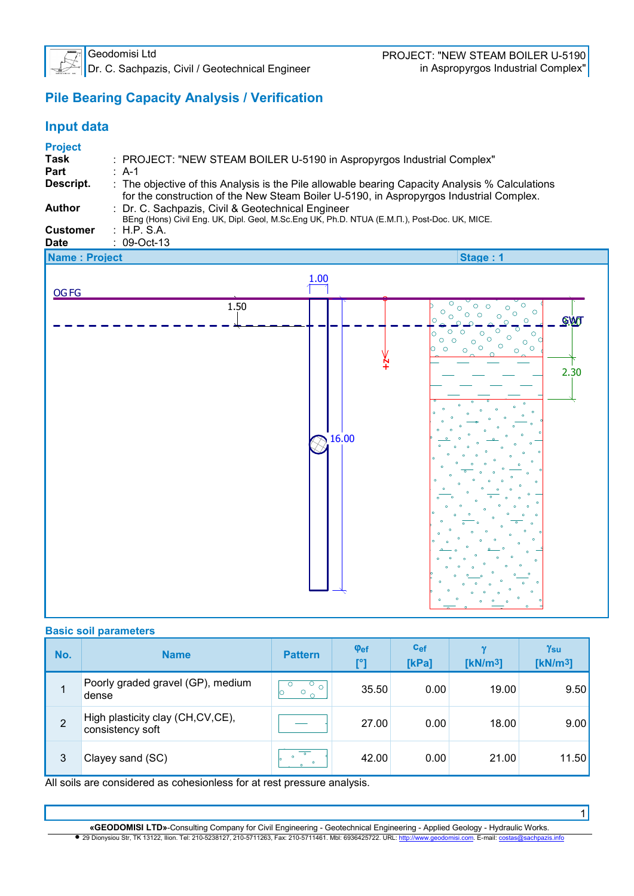

Dr. C. Sachpazis, Civil / Geotechnical Engineer in Aspropyrgos Industrial Complex"

1

# **Pile Bearing Capacity Analysis / Verification**

#### **Input data Project Task** : PROJECT: "NEW STEAM BOILER U-5190 in Aspropyrgos Industrial Complex" **Part** : A-1<br>**Descript.** : The **Descript.** : The objective of this Analysis is the Pile allowable bearing Capacity Analysis % Calculations for the construction of the New Steam Boiler U-5190, in Aspropyrgos Industrial Complex. **Author** : Dr. C. Sachpazis, Civil & Geotechnical Engineer BEng (Hons) Civil Eng. UK, Dipl. Geol, M.Sc.Eng UK, Ph.D. NTUA (Ε.Μ.Π.), Post-Doc. UK, MICE. **Customer** : H.P. S.A. **Date** : 09-Oct-13 **Name : Project Stage : 1**  $1.00$ OG FG  $\circ$  1.50  $\overline{\epsilon}$  $\overline{\circ}$  $\circ \circ$  $\circ$  $\circ$  $\circ$  $\circ$  $\circ$   $\circ$  $\circ$  $\circ$ ld  $\circ$ **GWT** <u>م آماماً</u>  $\Rightarrow$  $\frac{1}{\circ}$ ಕ  $\overline{\circ}$  $\frac{1}{\sigma}$  $\overline{\circ}$ .<br>'o lo  $\begin{matrix}0&0\\ 0&0\\ 0&0\end{matrix}$  $\circ$  $O$   $O$  $\circ$  $\circ$  $\circ$ h  $\circ$  $\circ$  $\circ$  $\epsilon$  $\frac{N}{+}$  2.30  $\frac{16.00}{2}$

#### **Basic soil parameters**

| No.            | <b>Name</b>                                          | <b>Pattern</b>                  | $\varphi_{\text{ef}}$<br>[°] | $c_{ef}$<br>[kPa] | [kN/m <sup>3</sup> ] | $\gamma_{\rm{su}}$<br>[kN/m <sup>3</sup> ] |
|----------------|------------------------------------------------------|---------------------------------|------------------------------|-------------------|----------------------|--------------------------------------------|
|                | Poorly graded gravel (GP), medium<br>dense           | U<br>$\circ$<br>$\circ$ $\circ$ | 35.50                        | 0.00              | 19.00                | 9.50                                       |
| $\overline{2}$ | High plasticity clay (CH,CV,CE),<br>consistency soft |                                 | 27.00                        | 0.00              | 18.00                | 9.00                                       |
| 3              | Clayey sand (SC)                                     |                                 | 42.00                        | 0.00              | 21.00                | 11.50                                      |

All soils are considered as cohesionless for at rest pressure analysis.

**«GEODOMISI LTD»**-Consulting Company for Civil Engineering - Geotechnical Engineering - Applied Geology - Hydraulic Works. • 29 Dionysiou Str, TK 13122, Ilion. Tel: 210-5238127, 210-5711263, Fax: 210-5711461. Mbl: 6936425722. URL: http://www.geodomisi.com. E-mail: cos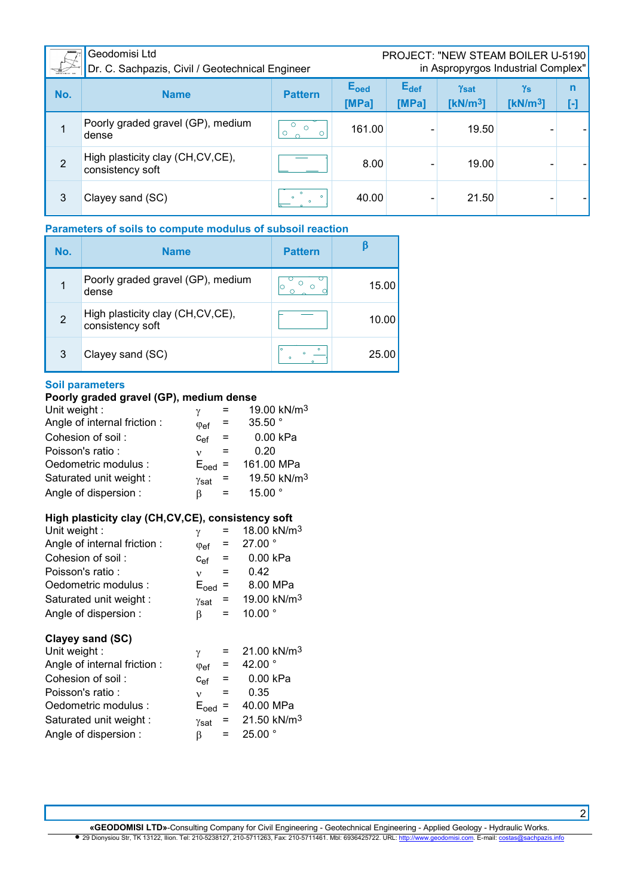| $\frac{1}{2}$  | Geodomisi Ltd<br>Dr. C. Sachpazis, Civil / Geotechnical Engineer | <b>PROJECT: "NEW STEAM BOILER U-5190</b><br>in Aspropyrgos Industrial Complex" |                                  |                    |                     |                            |        |
|----------------|------------------------------------------------------------------|--------------------------------------------------------------------------------|----------------------------------|--------------------|---------------------|----------------------------|--------|
| No.            | <b>Name</b>                                                      | <b>Pattern</b>                                                                 | <b>E</b> <sub>oed</sub><br>[MPa] | $E_{def}$<br>[MPa] | Ysat<br>[ $kN/m3$ ] | Ys<br>[kN/m <sup>3</sup> ] | n<br>H |
|                | Poorly graded gravel (GP), medium<br>dense                       | $\circ$<br>$\circ$<br>O                                                        | 161.00                           |                    | 19.50               |                            |        |
| $\overline{2}$ | High plasticity clay (CH, CV, CE),<br>consistency soft           |                                                                                | 8.00                             |                    | 19.00               |                            |        |
| 3              | Clayey sand (SC)                                                 | $\circ$                                                                        | 40.00                            |                    | 21.50               |                            |        |

# **Parameters of soils to compute modulus of subsoil reaction**

| No. | <b>Name</b>                                          | <b>Pattern</b> |       |
|-----|------------------------------------------------------|----------------|-------|
|     | Poorly graded gravel (GP), medium<br>dense           |                | 15.00 |
| 2   | High plasticity clay (CH,CV,CE),<br>consistency soft |                | 10.00 |
| 3   | Clayey sand (SC)                                     |                | 25.00 |

#### **Soil parameters**

### **Poorly graded gravel (GP), medium dense**

| Unit weight :               | ν                     |      | 19.00 kN/m <sup>3</sup> |
|-----------------------------|-----------------------|------|-------------------------|
| Angle of internal friction: | $\varphi_{\text{ef}}$ |      | 35.50 $^{\circ}$        |
| Cohesion of soil:           | $C_{\text{Pf}}$       | $=$  | 0.00 kPa                |
| Poisson's ratio:            | ν                     |      | 0.20                    |
| Oedometric modulus :        | $E_{\text{oed}}$      |      | 161.00 MPa              |
| Saturated unit weight :     | $\gamma_{\text{sat}}$ | - 11 | 19.50 kN/m <sup>3</sup> |
| Angle of dispersion:        | ß                     |      | 15.00 $^{\circ}$        |
|                             |                       |      |                         |

### **High plasticity clay (CH,CV,CE), consistency soft**

| Unit weight:                | γ                        |     | 18.00 kN/m <sup>3</sup>   |
|-----------------------------|--------------------------|-----|---------------------------|
| Angle of internal friction: | $\varphi_{\text{ef}}$    | Ξ   | 27.00°                    |
| Cohesion of soil:           | $c_{ef}$                 | Ξ   | 0.00 kPa                  |
| Poisson's ratio:            | $\mathbf{v}$             | $=$ | 0.42                      |
| Oedometric modulus :        | $E_{\text{oed}}$         | =   | 8.00 MPa                  |
| Saturated unit weight :     | Ysat                     | =   | 19.00 kN/m <sup>3</sup>   |
| Angle of dispersion:        | β                        | =   | 10.00 $^{\circ}$          |
|                             |                          |     |                           |
| Clayey sand (SC)            |                          |     |                           |
| Unit weight:                | $\gamma$                 | =   | $21.00$ kN/m <sup>3</sup> |
| Angle of internal friction: | $\varphi_{\text{ef}}$    | =   | 42.00 $^{\circ}$          |
| Cohesion of soil:           | $C_{\text{ef}}$          | =   | 0.00 kPa                  |
| Poisson's ratio:            | $\mathbf v$              | $=$ | 0.35                      |
| Oedometric modulus :        |                          | Ξ   | 40.00 MPa                 |
| Saturated unit weight :     | $E_{\text{oed}}$<br>Ysat | =   | 21.50 kN/m <sup>3</sup>   |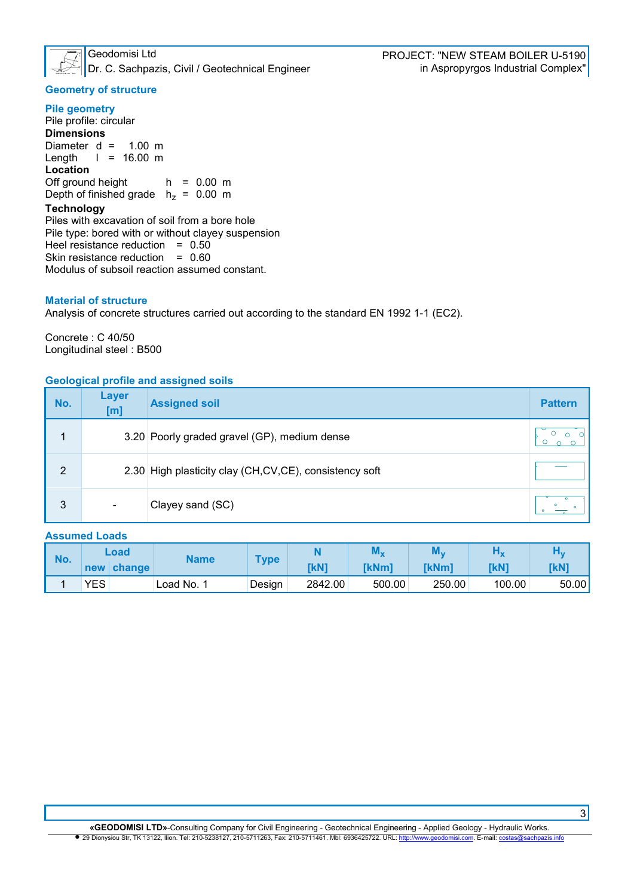

Dr. C. Sachpazis, Civil / Geotechnical Engineer in Aspropyrgos Industrial Complex"

#### **Geometry of structure**

**Pile geometry**  Pile profile: circular **Dimensions** Diameter  $d = 1.00$  m<br>Length  $l = 16.00$  m  $l = 16.00 m$ **Location** Off ground height  $h = 0.00$  m Depth of finished grade  $h<sub>z</sub> = 0.00$  m **Technology** 

Piles with excavation of soil from a bore hole Pile type: bored with or without clayey suspension Heel resistance reduction  $= 0.50$ Skin resistance reduction = 0.60 Modulus of subsoil reaction assumed constant.

#### **Material of structure**

Analysis of concrete structures carried out according to the standard EN 1992 1-1 (EC2).

Concrete : C 40/50 Longitudinal steel : B500

#### **Geological profile and assigned soils**

| No.            | <b>Layer</b><br>[m]      | <b>Assigned soil</b>                                   | <b>Pattern</b> |
|----------------|--------------------------|--------------------------------------------------------|----------------|
|                |                          | 3.20 Poorly graded gravel (GP), medium dense           |                |
| $\overline{2}$ |                          | 2.30 High plasticity clay (CH,CV,CE), consistency soft |                |
| 3              | $\overline{\phantom{a}}$ | Clayey sand (SC)                                       |                |

#### **Assumed Loads**

| No. |            | Load   | Name     | Type   |             | <b>AVI</b> V | <b>NA</b><br>av I v |        |       |
|-----|------------|--------|----------|--------|-------------|--------------|---------------------|--------|-------|
|     | new        | change |          |        | <b>TkN1</b> | [kNm]        | <b>TkNm1</b>        | [kN]   | [kN]  |
|     | <b>YES</b> |        | Load No. | Design | 2842.00     | 500.00       | 250.00              | 100.00 | 50.00 |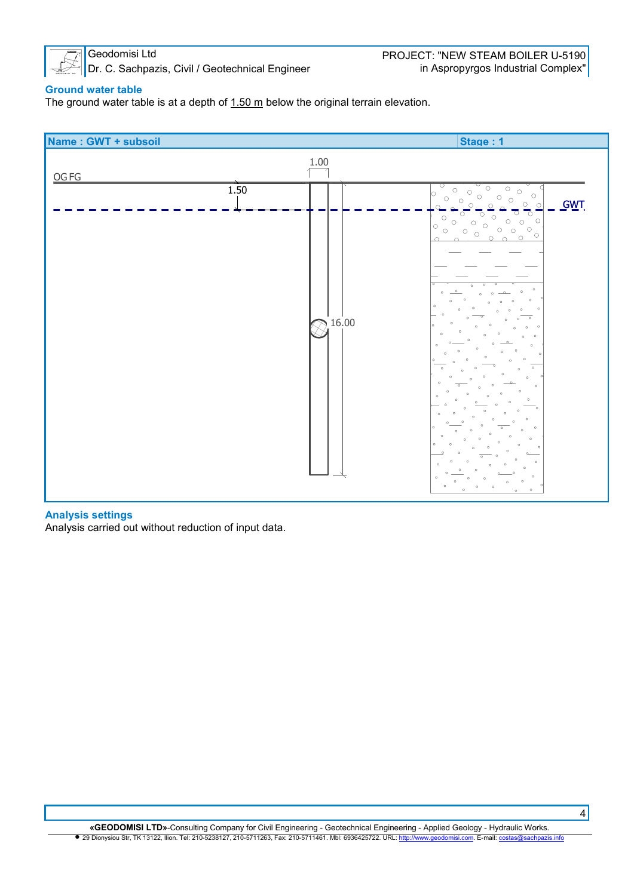

Dr. C. Sachpazis, Civil / Geotechnical Engineer

#### **Ground water table**

The ground water table is at a depth of  $1.50 \text{ m}$  below the original terrain elevation.



#### **Analysis settings**

Analysis carried out without reduction of input data.

**«GEODOMISI LTD»**-Consulting Company for Civil Engineering - Geotechnical Engineering - Applied Geology - Hydraulic Works. • 29 Dionysiou Str, TK 13122, Ilion. Tel: 210-5238127, 210-5711263, Fax: 210-5711461. Mbl: 6936425722. URL: http://www.geodomisi.com. E-mail: cos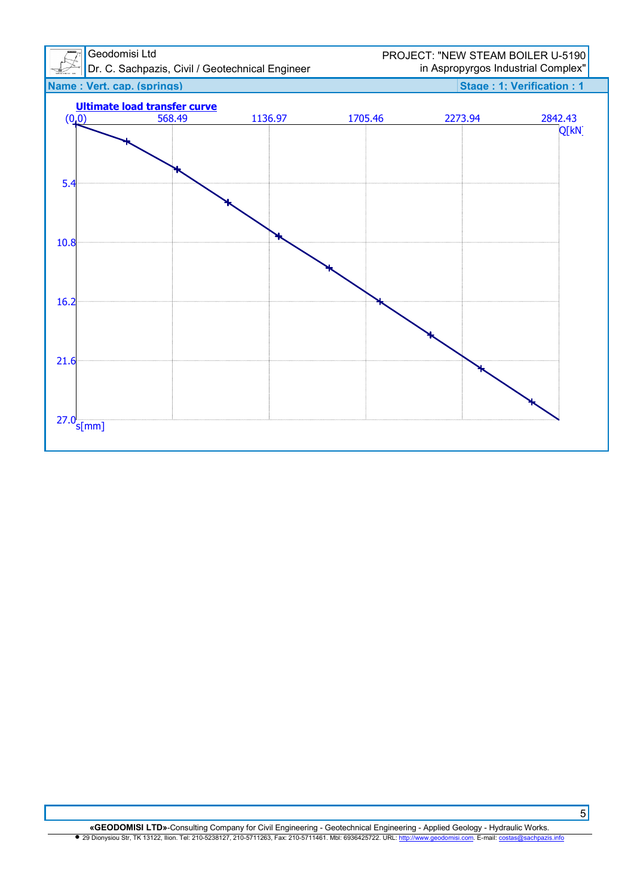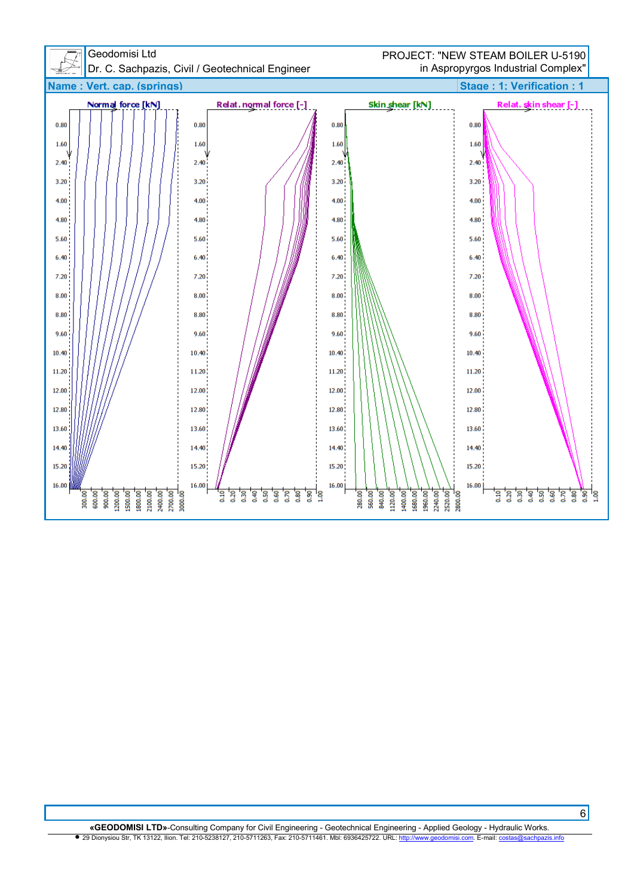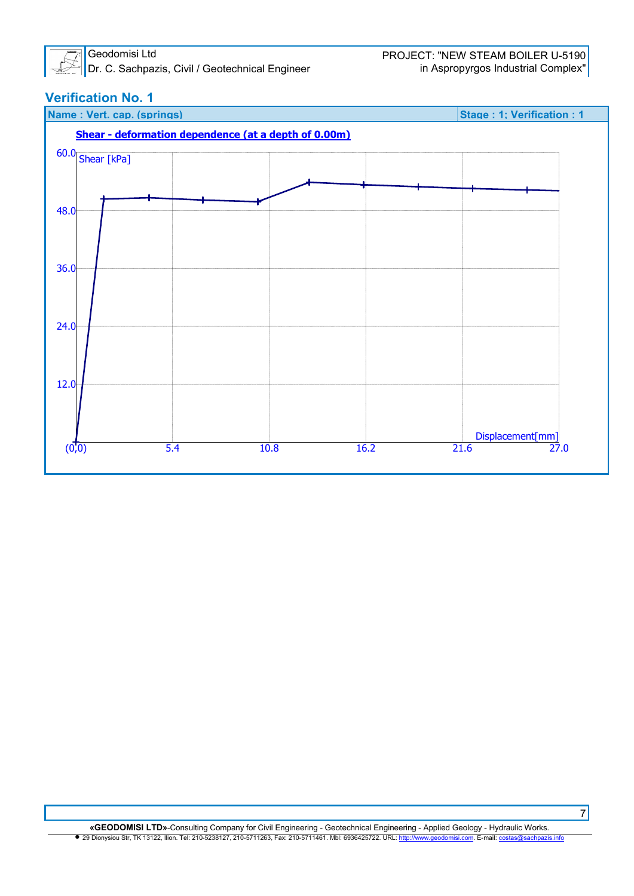

Dr. C. Sachpazis, Civil / Geotechnical Engineer

# **Verification No. 1**

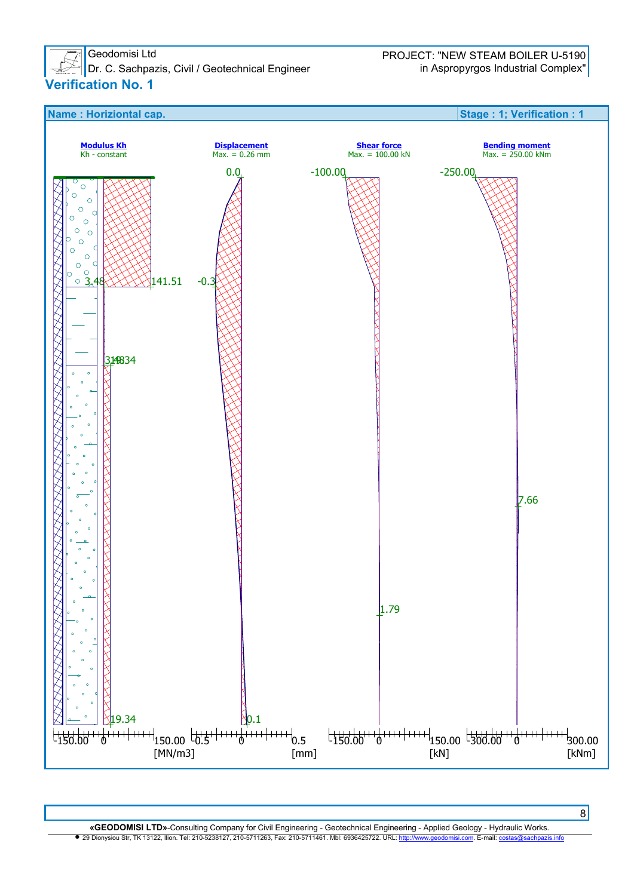

 $\vert$  Dr. C. Sachpazis, Civil / Geotechnical Engineer **Verification No. 1** 



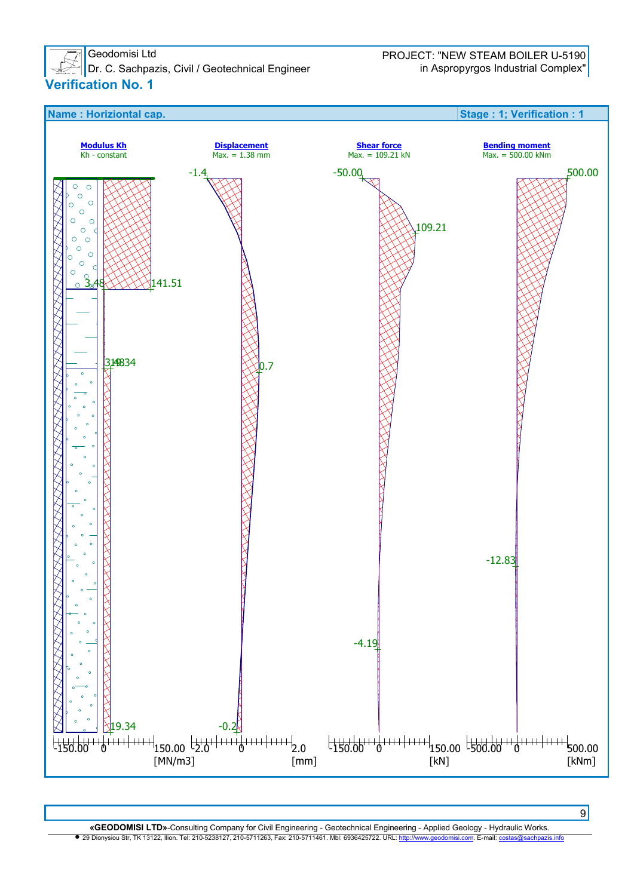

Dr. C. Sachpazis, Civil / Geotechnical Engineer in Aspropyrgos Industrial Complex" **Verification No. 1** 



**«GEODOMISI LTD»**-Consulting Company for Civil Engineering - Geotechnical Engineering - Applied Geology - Hydraulic Works. • 29 Dionysiou Str, TK 13122, Ilion. Tel: 210-5238127, 210-5711263, Fax: 210-5711461. Mbl: 6936425722. URL: http://www.geodomisi.com. E-mail: co

 $[kN]$ 

[mm]

[MN/m3]

9

[kNm]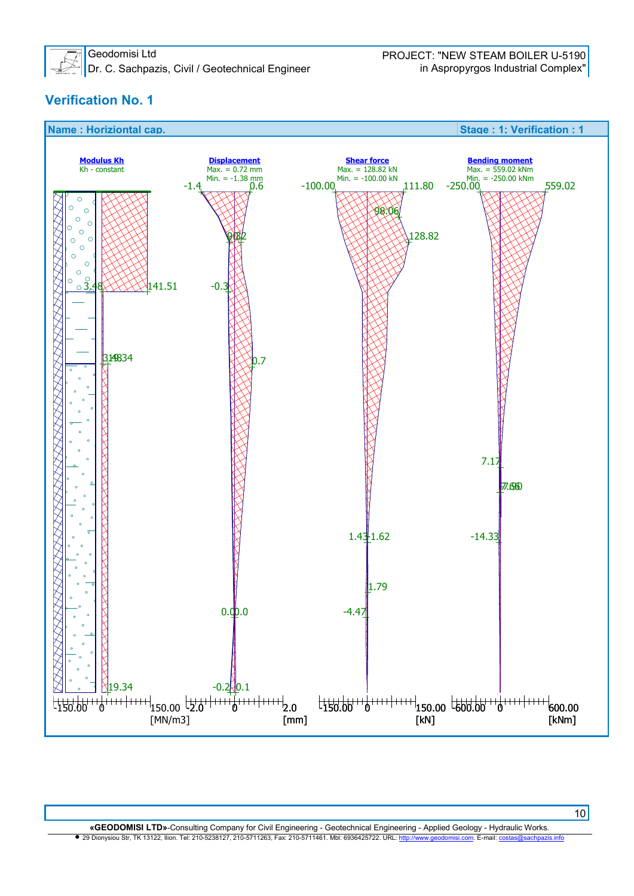

Dr. C. Sachpazis, Civil / Geotechnical Engineer in Aspropyrgos Industrial Complex"

# **Verification No. 1**



**«GEODOMISI LTD»**-Consulting Company for Civil Engineering - Geotechnical Engineering - Applied Geology - Hydraulic Works. • 29 Dionysiou Str, TK 13122, Ilion. Tel: 210-5238127, 210-5711263, Fax: 210-5711461. Mbl: 6936425722. URL: http://www.geodomisi.com. E-mail: co